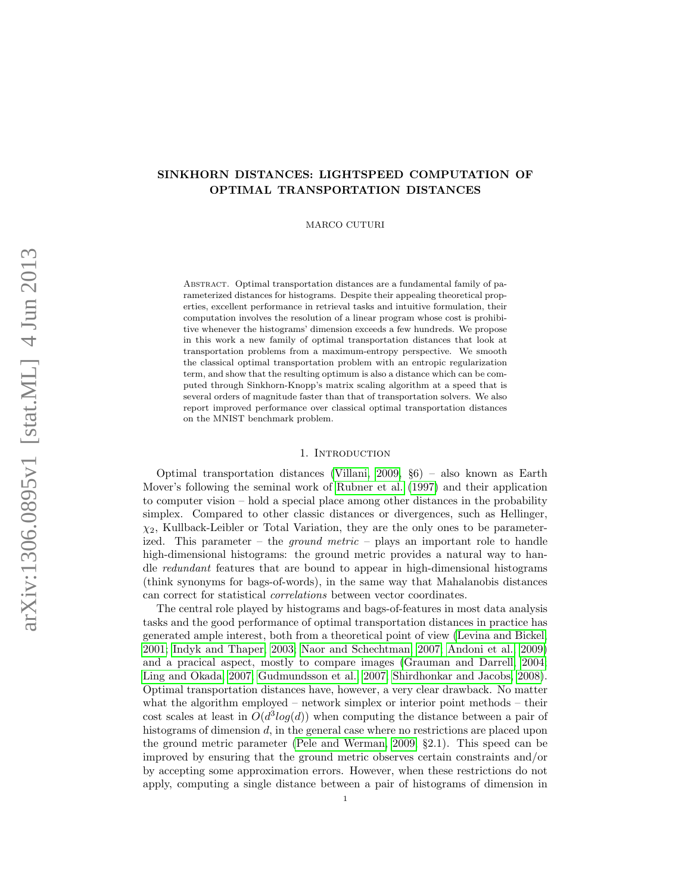# SINKHORN DISTANCES: LIGHTSPEED COMPUTATION OF OPTIMAL TRANSPORTATION DISTANCES

MARCO CUTURI

ABSTRACT. Optimal transportation distances are a fundamental family of parameterized distances for histograms. Despite their appealing theoretical properties, excellent performance in retrieval tasks and intuitive formulation, their computation involves the resolution of a linear program whose cost is prohibitive whenever the histograms' dimension exceeds a few hundreds. We propose in this work a new family of optimal transportation distances that look at transportation problems from a maximum-entropy perspective. We smooth the classical optimal transportation problem with an entropic regularization term, and show that the resulting optimum is also a distance which can be computed through Sinkhorn-Knopp's matrix scaling algorithm at a speed that is several orders of magnitude faster than that of transportation solvers. We also report improved performance over classical optimal transportation distances on the MNIST benchmark problem.

### 1. INTRODUCTION

Optimal transportation distances [\(Villani, 2009,](#page-12-0) §6) – also known as Earth Mover's following the seminal work of [Rubner et al.](#page-12-1) [\(1997\)](#page-12-1) and their application to computer vision – hold a special place among other distances in the probability simplex. Compared to other classic distances or divergences, such as Hellinger,  $\chi_2$ , Kullback-Leibler or Total Variation, they are the only ones to be parameterized. This parameter – the *ground metric* – plays an important role to handle high-dimensional histograms: the ground metric provides a natural way to handle redundant features that are bound to appear in high-dimensional histograms (think synonyms for bags-of-words), in the same way that Mahalanobis distances can correct for statistical correlations between vector coordinates.

The central role played by histograms and bags-of-features in most data analysis tasks and the good performance of optimal transportation distances in practice has generated ample interest, both from a theoretical point of view [\(Levina and Bickel,](#page-12-2) [2001;](#page-12-2) [Indyk and Thaper, 2003;](#page-12-3) [Naor and Schechtman, 2007;](#page-12-4) [Andoni et al., 2009\)](#page-11-0) and a pracical aspect, mostly to compare images [\(Grauman and Darrell, 2004;](#page-11-1) [Ling and Okada, 2007;](#page-12-5) [Gudmundsson et al., 2007;](#page-11-2) [Shirdhonkar and Jacobs, 2008\)](#page-12-6). Optimal transportation distances have, however, a very clear drawback. No matter what the algorithm employed – network simplex or interior point methods – their cost scales at least in  $O(d^3 log(d))$  when computing the distance between a pair of histograms of dimension d, in the general case where no restrictions are placed upon the ground metric parameter [\(Pele and Werman, 2009,](#page-12-7) §2.1). This speed can be improved by ensuring that the ground metric observes certain constraints and/or by accepting some approximation errors. However, when these restrictions do not apply, computing a single distance between a pair of histograms of dimension in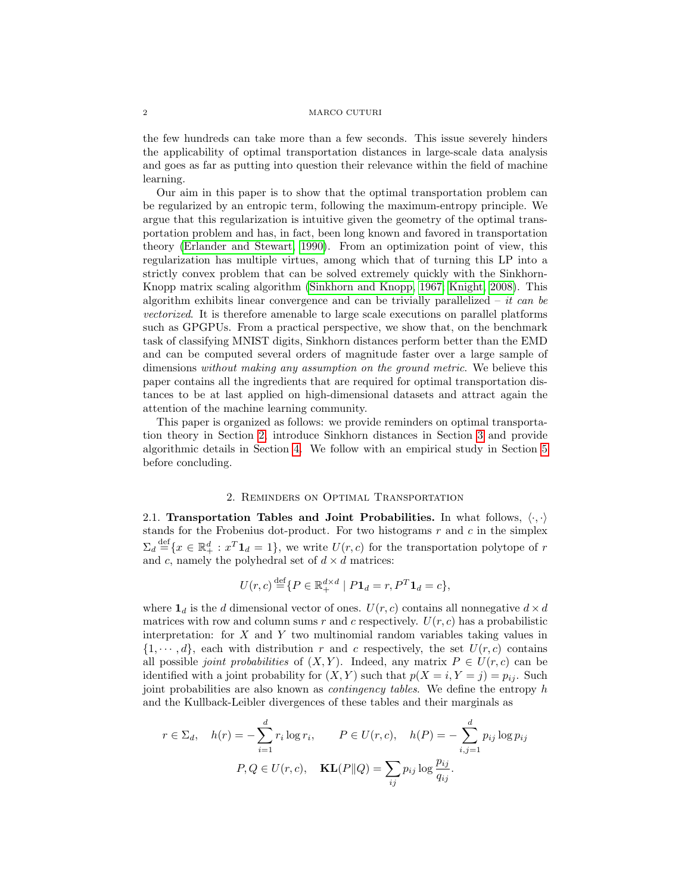#### 2 MARCO CUTURI

the few hundreds can take more than a few seconds. This issue severely hinders the applicability of optimal transportation distances in large-scale data analysis and goes as far as putting into question their relevance within the field of machine learning.

Our aim in this paper is to show that the optimal transportation problem can be regularized by an entropic term, following the maximum-entropy principle. We argue that this regularization is intuitive given the geometry of the optimal transportation problem and has, in fact, been long known and favored in transportation theory [\(Erlander and Stewart, 1990\)](#page-11-3). From an optimization point of view, this regularization has multiple virtues, among which that of turning this LP into a strictly convex problem that can be solved extremely quickly with the Sinkhorn-Knopp matrix scaling algorithm [\(Sinkhorn and Knopp, 1967;](#page-12-8) [Knight, 2008\)](#page-12-9). This algorithm exhibits linear convergence and can be trivially parallelized – it can be vectorized. It is therefore amenable to large scale executions on parallel platforms such as GPGPUs. From a practical perspective, we show that, on the benchmark task of classifying MNIST digits, Sinkhorn distances perform better than the EMD and can be computed several orders of magnitude faster over a large sample of dimensions without making any assumption on the ground metric. We believe this paper contains all the ingredients that are required for optimal transportation distances to be at last applied on high-dimensional datasets and attract again the attention of the machine learning community.

This paper is organized as follows: we provide reminders on optimal transportation theory in Section [2,](#page-1-0) introduce Sinkhorn distances in Section [3](#page-2-0) and provide algorithmic details in Section [4.](#page-5-0) We follow with an empirical study in Section [5](#page-6-0) before concluding.

### 2. Reminders on Optimal Transportation

<span id="page-1-0"></span>2.1. Transportation Tables and Joint Probabilities. In what follows,  $\langle \cdot, \cdot \rangle$ stands for the Frobenius dot-product. For two histograms  $r$  and  $c$  in the simplex  $\Sigma_d \stackrel{\text{def}}{=} \{x \in \mathbb{R}_+^d : x^T \mathbf{1}_d = 1\}$ , we write  $U(r, c)$  for the transportation polytope of r and c, namely the polyhedral set of  $d \times d$  matrices:

$$
U(r,c) \stackrel{\text{def}}{=} \{ P \in \mathbb{R}_+^{d \times d} \mid P \mathbf{1}_d = r, P^T \mathbf{1}_d = c \},
$$

where  $\mathbf{1}_d$  is the  $d$  dimensional vector of ones.  $U(r, c)$  contains all nonnegative  $d \times d$ matrices with row and column sums r and c respectively.  $U(r, c)$  has a probabilistic interpretation: for  $X$  and  $Y$  two multinomial random variables taking values in  $\{1, \dots, d\}$ , each with distribution r and c respectively, the set  $U(r, c)$  contains all possible *joint probabilities* of  $(X, Y)$ . Indeed, any matrix  $P \in U(r, c)$  can be identified with a joint probability for  $(X, Y)$  such that  $p(X = i, Y = j) = p_{ij}$ . Such joint probabilities are also known as contingency tables. We define the entropy h and the Kullback-Leibler divergences of these tables and their marginals as

$$
r \in \Sigma_d, \quad h(r) = -\sum_{i=1}^d r_i \log r_i, \qquad P \in U(r, c), \quad h(P) = -\sum_{i,j=1}^d p_{ij} \log p_{ij}
$$

$$
P, Q \in U(r, c), \quad \mathbf{KL}(P||Q) = \sum_{ij} p_{ij} \log \frac{p_{ij}}{q_{ij}}.
$$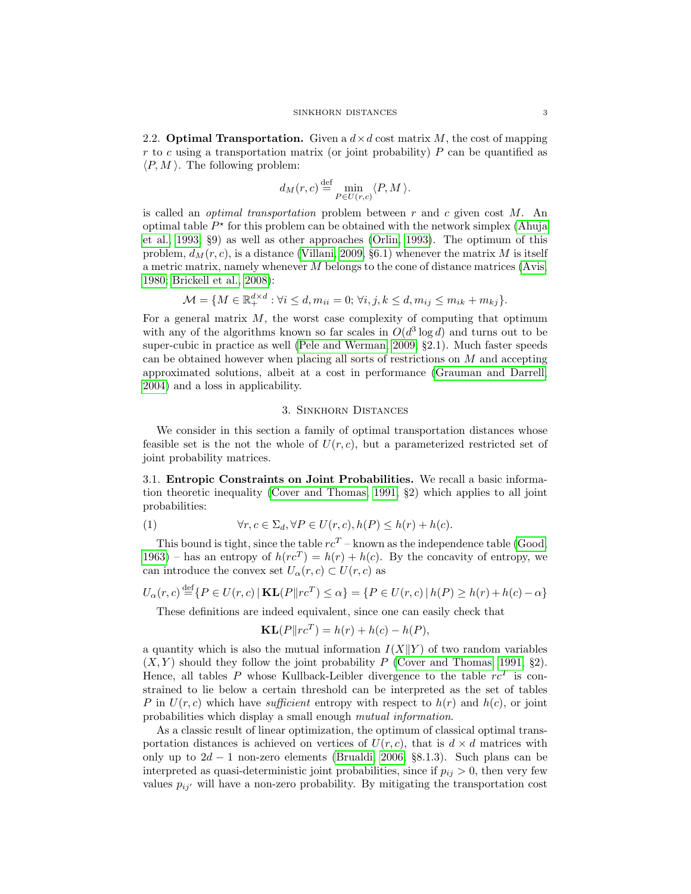2.2. **Optimal Transportation.** Given a  $d \times d$  cost matrix M, the cost of mapping r to c using a transportation matrix (or joint probability)  $P$  can be quantified as  $\langle P, M \rangle$ . The following problem:

$$
d_M(r,c) \stackrel{\text{def}}{=} \min_{P \in U(r,c)} \langle P, M \rangle.
$$

is called an *optimal transportation* problem between  $r$  and  $c$  given cost  $M$ . An optimal table  $P^*$  for this problem can be obtained with the network simplex [\(Ahuja](#page-11-4) [et al., 1993,](#page-11-4) §9) as well as other approaches [\(Orlin, 1993\)](#page-12-10). The optimum of this problem,  $d<sub>M</sub>(r, c)$ , is a distance [\(Villani, 2009,](#page-12-0) §6.1) whenever the matrix M is itself a metric matrix, namely whenever M belongs to the cone of distance matrices [\(Avis,](#page-11-5) [1980;](#page-11-5) [Brickell et al., 2008\)](#page-11-6):

$$
\mathcal{M} = \{ M \in \mathbb{R}_+^{d \times d} : \forall i \le d, m_{ii} = 0; \forall i, j, k \le d, m_{ij} \le m_{ik} + m_{kj} \}.
$$

For a general matrix  $M$ , the worst case complexity of computing that optimum with any of the algorithms known so far scales in  $O(d^3 \log d)$  and turns out to be super-cubic in practice as well [\(Pele and Werman, 2009,](#page-12-7) §2.1). Much faster speeds can be obtained however when placing all sorts of restrictions on M and accepting approximated solutions, albeit at a cost in performance [\(Grauman and Darrell,](#page-11-1) [2004\)](#page-11-1) and a loss in applicability.

## 3. Sinkhorn Distances

<span id="page-2-0"></span>We consider in this section a family of optimal transportation distances whose feasible set is the not the whole of  $U(r, c)$ , but a parameterized restricted set of joint probability matrices.

3.1. Entropic Constraints on Joint Probabilities. We recall a basic information theoretic inequality [\(Cover and Thomas, 1991,](#page-11-7) §2) which applies to all joint probabilities:

(1) 
$$
\forall r, c \in \Sigma_d, \forall P \in U(r, c), h(P) \leq h(r) + h(c).
$$

This bound is tight, since the table  $rc^{T}$  – known as the independence table [\(Good,](#page-11-8) [1963\)](#page-11-8) – has an entropy of  $h(re^{T}) = h(r) + h(c)$ . By the concavity of entropy, we can introduce the convex set  $U_{\alpha}(r, c) \subset U(r, c)$  as

$$
U_{\alpha}(r, c) \stackrel{\text{def}}{=} \{ P \in U(r, c) \mid \mathbf{KL}(P \| rc^{T}) \le \alpha \} = \{ P \in U(r, c) \mid h(P) \ge h(r) + h(c) - \alpha \}
$$

These definitions are indeed equivalent, since one can easily check that

$$
\mathbf{KL}(P \| rc^T) = h(r) + h(c) - h(P),
$$

a quantity which is also the mutual information  $I(X||Y)$  of two random variables  $(X, Y)$  should they follow the joint probability P [\(Cover and Thomas, 1991,](#page-11-7) §2). Hence, all tables P whose Kullback-Leibler divergence to the table  $rc^T$  is constrained to lie below a certain threshold can be interpreted as the set of tables P in  $U(r, c)$  which have sufficient entropy with respect to  $h(r)$  and  $h(c)$ , or joint probabilities which display a small enough mutual information.

As a classic result of linear optimization, the optimum of classical optimal transportation distances is achieved on vertices of  $U(r, c)$ , that is  $d \times d$  matrices with only up to  $2d - 1$  non-zero elements [\(Brualdi, 2006,](#page-11-9) §8.1.3). Such plans can be interpreted as quasi-deterministic joint probabilities, since if  $p_{ij} > 0$ , then very few values  $p_{ij'}$  will have a non-zero probability. By mitigating the transportation cost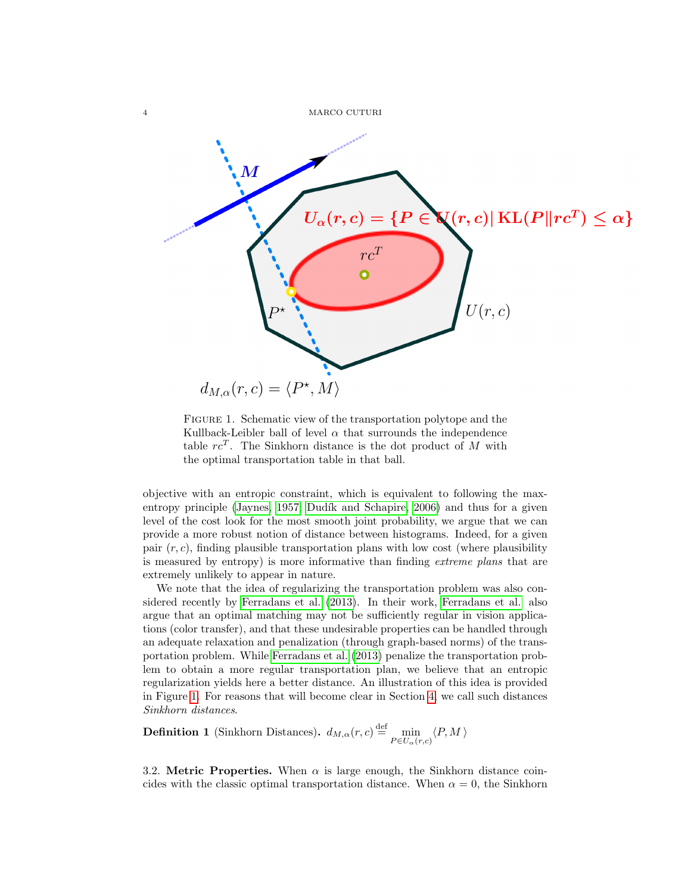

<span id="page-3-0"></span>FIGURE 1. Schematic view of the transportation polytope and the Kullback-Leibler ball of level  $\alpha$  that surrounds the independence table  $rc^T$ . The Sinkhorn distance is the dot product of M with the optimal transportation table in that ball.

objective with an entropic constraint, which is equivalent to following the max-entropy principle [\(Jaynes, 1957;](#page-12-11) Dudík and Schapire, 2006) and thus for a given level of the cost look for the most smooth joint probability, we argue that we can provide a more robust notion of distance between histograms. Indeed, for a given pair  $(r, c)$ , finding plausible transportation plans with low cost (where plausibility is measured by entropy) is more informative than finding extreme plans that are extremely unlikely to appear in nature.

We note that the idea of regularizing the transportation problem was also considered recently by [Ferradans et al.](#page-11-11) [\(2013\)](#page-11-11). In their work, [Ferradans et al.](#page-11-11) also argue that an optimal matching may not be sufficiently regular in vision applications (color transfer), and that these undesirable properties can be handled through an adequate relaxation and penalization (through graph-based norms) of the transportation problem. While [Ferradans et al.](#page-11-11) [\(2013\)](#page-11-11) penalize the transportation problem to obtain a more regular transportation plan, we believe that an entropic regularization yields here a better distance. An illustration of this idea is provided in Figure [1.](#page-3-0) For reasons that will become clear in Section [4,](#page-5-0) we call such distances Sinkhorn distances.

<span id="page-3-1"></span>**Definition 1** (Sinkhorn Distances).  $d_{M,\alpha}(r,c) \stackrel{\text{def}}{=} \min_{P \in U_{\alpha}(r,c)} \langle P, M \rangle$ 

3.2. Metric Properties. When  $\alpha$  is large enough, the Sinkhorn distance coincides with the classic optimal transportation distance. When  $\alpha = 0$ , the Sinkhorn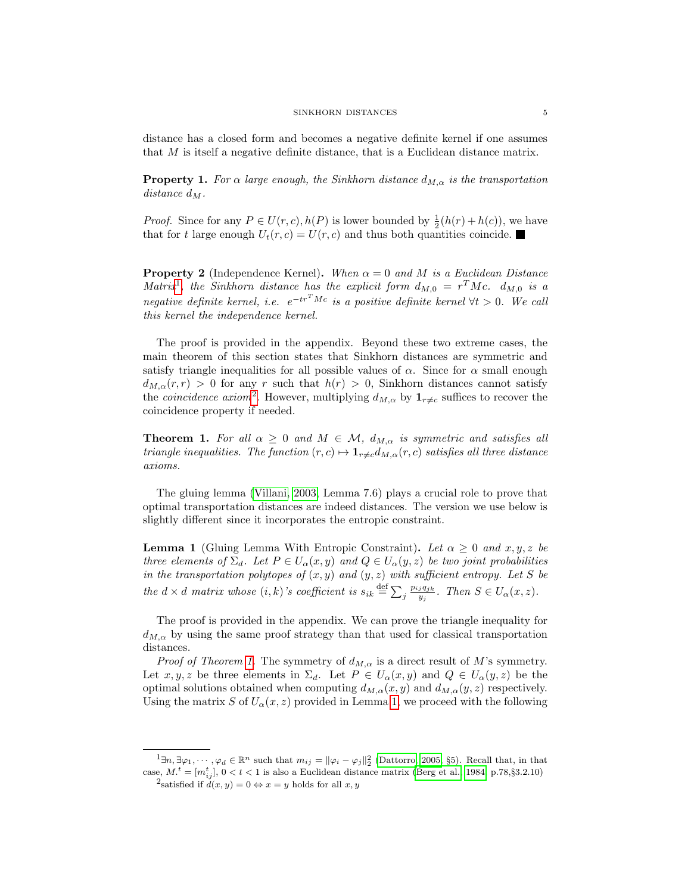distance has a closed form and becomes a negative definite kernel if one assumes that M is itself a negative definite distance, that is a Euclidean distance matrix.

<span id="page-4-4"></span>**Property 1.** For  $\alpha$  large enough, the Sinkhorn distance  $d_{M,\alpha}$  is the transportation distance  $d_M$ .

*Proof.* Since for any  $P \in U(r, c), h(P)$  is lower bounded by  $\frac{1}{2}(h(r) + h(c))$ , we have that for t large enough  $U_t(r, c) = U(r, c)$  and thus both quantities coincide.

**Property 2** (Independence Kernel). When  $\alpha = 0$  and M is a Euclidean Distance Matrix<sup>[1](#page-4-0)</sup>, the Sinkhorn distance has the explicit form  $d_{M,0} = r^T M c$ .  $d_{M,0}$  is a negative definite kernel, i.e.  $e^{-tr^{T}Mc}$  is a positive definite kernel  $\forall t > 0$ . We call this kernel the independence kernel.

The proof is provided in the appendix. Beyond these two extreme cases, the main theorem of this section states that Sinkhorn distances are symmetric and satisfy triangle inequalities for all possible values of  $\alpha$ . Since for  $\alpha$  small enough  $d_{M,\alpha}(r,r) > 0$  for any r such that  $h(r) > 0$ , Sinkhorn distances cannot satisfy the *coincidence axiom*<sup>[2](#page-4-1)</sup>. However, multiplying  $d_{M,\alpha}$  by  $\mathbf{1}_{r\neq c}$  suffices to recover the coincidence property if needed.

<span id="page-4-2"></span>**Theorem 1.** For all  $\alpha \geq 0$  and  $M \in \mathcal{M}$ ,  $d_{M,\alpha}$  is symmetric and satisfies all triangle inequalities. The function  $(r, c) \mapsto \mathbf{1}_{r \neq c} d_{M, \alpha}(r, c)$  satisfies all three distance axioms.

The gluing lemma [\(Villani, 2003,](#page-12-12) Lemma 7.6) plays a crucial role to prove that optimal transportation distances are indeed distances. The version we use below is slightly different since it incorporates the entropic constraint.

<span id="page-4-3"></span>**Lemma 1** (Gluing Lemma With Entropic Constraint). Let  $\alpha \geq 0$  and  $x, y, z$  be three elements of  $\Sigma_d$ . Let  $P \in U_\alpha(x, y)$  and  $Q \in U_\alpha(y, z)$  be two joint probabilities in the transportation polytopes of  $(x, y)$  and  $(y, z)$  with sufficient entropy. Let S be the  $d \times d$  matrix whose  $(i, k)$ 's coefficient is  $s_{ik} \stackrel{\text{def}}{=} \sum_j \frac{p_{ij}q_{jk}}{y_j}$  $\frac{jq_{jk}}{y_j}$ . Then  $S \in U_\alpha(x,z)$ .

The proof is provided in the appendix. We can prove the triangle inequality for  $d_{M,\alpha}$  by using the same proof strategy than that used for classical transportation distances.

*Proof of Theorem [1.](#page-4-2)* The symmetry of  $d_{M,\alpha}$  is a direct result of M's symmetry. Let  $x, y, z$  be three elements in  $\Sigma_d$ . Let  $P \in U_\alpha(x, y)$  and  $Q \in U_\alpha(y, z)$  be the optimal solutions obtained when computing  $d_{M,\alpha}(x, y)$  and  $d_{M,\alpha}(y, z)$  respectively. Using the matrix S of  $U_{\alpha}(x, z)$  provided in Lemma [1,](#page-4-3) we proceed with the following

<span id="page-4-1"></span><span id="page-4-0"></span> $1\exists n, \exists \varphi_1, \cdots, \varphi_d \in \mathbb{R}^n$  such that  $m_{ij} = ||\varphi_i - \varphi_j||_2^2$  [\(Dattorro, 2005,](#page-11-12) §5). Recall that, in that case,  $M_{\cdot}^{\ t}=[m_{ij}^{t}],\ 0< t< 1$  is also a Euclidean distance matrix [\(Berg et al., 1984,](#page-11-13) p.78, §3.2.10)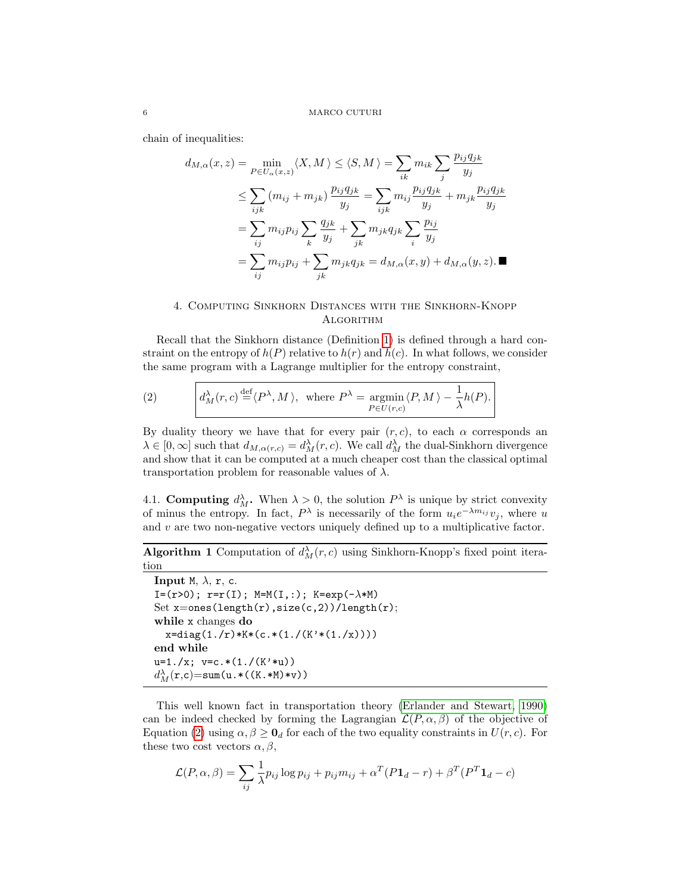chain of inequalities:

$$
d_{M,\alpha}(x, z) = \min_{P \in U_{\alpha}(x, z)} \langle X, M \rangle \leq \langle S, M \rangle = \sum_{ik} m_{ik} \sum_{j} \frac{p_{ij} q_{jk}}{y_j}
$$
  
\n
$$
\leq \sum_{ijk} (m_{ij} + m_{jk}) \frac{p_{ij} q_{jk}}{y_j} = \sum_{ijk} m_{ij} \frac{p_{ij} q_{jk}}{y_j} + m_{jk} \frac{p_{ij} q_{jk}}{y_j}
$$
  
\n
$$
= \sum_{ij} m_{ij} p_{ij} \sum_{k} \frac{q_{jk}}{y_j} + \sum_{jk} m_{jk} q_{jk} \sum_{i} \frac{p_{ij}}{y_j}
$$
  
\n
$$
= \sum_{ij} m_{ij} p_{ij} + \sum_{jk} m_{jk} q_{jk} = d_{M,\alpha}(x, y) + d_{M,\alpha}(y, z). \blacksquare
$$

## <span id="page-5-0"></span>4. Computing Sinkhorn Distances with the Sinkhorn-Knopp **ALGORITHM**

Recall that the Sinkhorn distance (Definition [1\)](#page-3-1) is defined through a hard constraint on the entropy of  $h(P)$  relative to  $h(r)$  and  $h(c)$ . In what follows, we consider the same program with a Lagrange multiplier for the entropy constraint,

<span id="page-5-1"></span>(2) 
$$
d_M^{\lambda}(r,c) \stackrel{\text{def}}{=} \langle P^{\lambda}, M \rangle, \text{ where } P^{\lambda} = \underset{P \in U(r,c)}{\operatorname{argmin}} \langle P, M \rangle - \frac{1}{\lambda} h(P).
$$

By duality theory we have that for every pair  $(r, c)$ , to each  $\alpha$  corresponds an  $\lambda \in [0,\infty]$  such that  $d_{M,\alpha(r,c)} = d_M^{\lambda}(r,c)$ . We call  $d_M^{\lambda}$  the dual-Sinkhorn divergence and show that it can be computed at a much cheaper cost than the classical optimal transportation problem for reasonable values of  $\lambda$ .

4.1. Computing  $d_M^{\lambda}$ . When  $\lambda > 0$ , the solution  $P^{\lambda}$  is unique by strict convexity of minus the entropy. In fact,  $P^{\lambda}$  is necessarily of the form  $u_i e^{-\lambda m_{ij}} v_j$ , where u and  $v$  are two non-negative vectors uniquely defined up to a multiplicative factor.

# <span id="page-5-2"></span>**Algorithm 1** Computation of  $d_M^{\lambda}(r, c)$  using Sinkhorn-Knopp's fixed point iteration

```
Input M, \lambda, r, c.
I=(r>0); r=r(I); M=M(I,:); K=exp(-\lambda *M)Set x=ones(length(r),size(c,2))/length(r);while x changes do
   x = diag(1./r) * K * (c. * (1./(K' * (1./x))))end while
u=1./x; v=c.*(1./(K'*u))d_M^{\lambda}(\mathbf{r}, \mathbf{c}) = \texttt{sum}(\mathbf{u}.*( (\mathtt{K}.*\mathtt{M})*\mathtt{v}) )
```
This well known fact in transportation theory [\(Erlander and Stewart, 1990\)](#page-11-3) can be indeed checked by forming the Lagrangian  $\mathcal{L}(P,\alpha,\beta)$  of the objective of Equation [\(2\)](#page-5-1) using  $\alpha, \beta \geq \mathbf{0}_d$  for each of the two equality constraints in  $U(r, c)$ . For these two cost vectors  $\alpha, \beta$ ,

$$
\mathcal{L}(P,\alpha,\beta) = \sum_{ij} \frac{1}{\lambda} p_{ij} \log p_{ij} + p_{ij} m_{ij} + \alpha^T (P \mathbf{1}_d - r) + \beta^T (P^T \mathbf{1}_d - c)
$$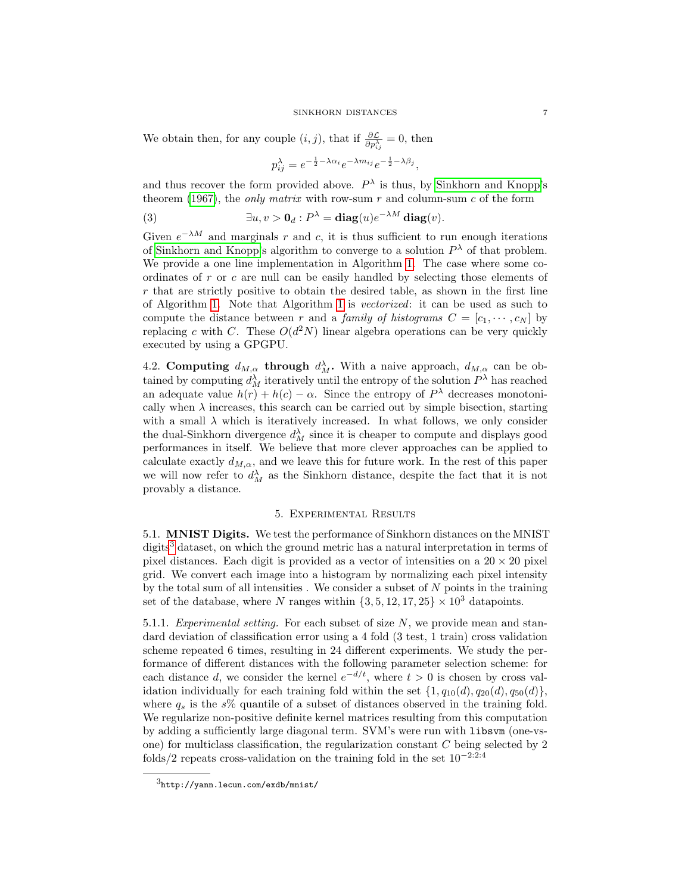We obtain then, for any couple  $(i, j)$ , that if  $\frac{\partial \mathcal{L}}{\partial p_{ij}^{\lambda}} = 0$ , then

$$
p_{ij}^{\lambda} = e^{-\frac{1}{2} - \lambda \alpha_i} e^{-\lambda m_{ij}} e^{-\frac{1}{2} - \lambda \beta_j},
$$

and thus recover the form provided above.  $P^{\lambda}$  is thus, by [Sinkhorn and Knopp'](#page-12-8)s theorem [\(1967\)](#page-12-8), the only matrix with row-sum  $r$  and column-sum  $c$  of the form

(3) 
$$
\exists u, v > \mathbf{0}_d : P^{\lambda} = \mathbf{diag}(u) e^{-\lambda M} \mathbf{diag}(v).
$$

Given  $e^{-\lambda M}$  and marginals r and c, it is thus sufficient to run enough iterations of [Sinkhorn and Knopp'](#page-12-8)s algorithm to converge to a solution  $P^{\lambda}$  of that problem. We provide a one line implementation in Algorithm [1.](#page-5-2) The case where some coordinates of  $r$  or  $c$  are null can be easily handled by selecting those elements of  $r$  that are strictly positive to obtain the desired table, as shown in the first line of Algorithm [1.](#page-5-2) Note that Algorithm [1](#page-5-2) is vectorized: it can be used as such to compute the distance between r and a family of histograms  $C = [c_1, \dots, c_N]$  by replacing c with C. These  $O(d^2N)$  linear algebra operations can be very quickly executed by using a GPGPU.

4.2. Computing  $d_{M,\alpha}$  through  $d_M^{\lambda}$ . With a naive approach,  $d_{M,\alpha}$  can be obtained by computing  $d_M^{\lambda}$  iteratively until the entropy of the solution  $P^{\lambda}$  has reached an adequate value  $h(r) + h(c) - \alpha$ . Since the entropy of  $P^{\lambda}$  decreases monotonically when  $\lambda$  increases, this search can be carried out by simple bisection, starting with a small  $\lambda$  which is iteratively increased. In what follows, we only consider the dual-Sinkhorn divergence  $d_M^{\lambda}$  since it is cheaper to compute and displays good performances in itself. We believe that more clever approaches can be applied to calculate exactly  $d_{M,\alpha}$ , and we leave this for future work. In the rest of this paper we will now refer to  $d_M^{\lambda}$  as the Sinkhorn distance, despite the fact that it is not provably a distance.

## 5. Experimental Results

<span id="page-6-2"></span><span id="page-6-0"></span>5.1. MNIST Digits. We test the performance of Sinkhorn distances on the MNIST digits<sup>[3](#page-6-1)</sup> dataset, on which the ground metric has a natural interpretation in terms of pixel distances. Each digit is provided as a vector of intensities on a  $20 \times 20$  pixel grid. We convert each image into a histogram by normalizing each pixel intensity by the total sum of all intensities. We consider a subset of  $N$  points in the training set of the database, where N ranges within  $\{3, 5, 12, 17, 25\} \times 10^3$  datapoints.

5.1.1. Experimental setting. For each subset of size  $N$ , we provide mean and standard deviation of classification error using a 4 fold (3 test, 1 train) cross validation scheme repeated 6 times, resulting in 24 different experiments. We study the performance of different distances with the following parameter selection scheme: for each distance d, we consider the kernel  $e^{-d/t}$ , where  $t > 0$  is chosen by cross validation individually for each training fold within the set  $\{1, q_{10}(d), q_{20}(d)\}$ , where  $q_s$  is the s% quantile of a subset of distances observed in the training fold. We regularize non-positive definite kernel matrices resulting from this computation by adding a sufficiently large diagonal term. SVM's were run with libsvm (one-vsone) for multiclass classification, the regularization constant C being selected by 2 folds/2 repeats cross-validation on the training fold in the set  $10^{-2:2:4}$ 

<span id="page-6-1"></span> $3$ http://yann.lecun.com/exdb/mnist/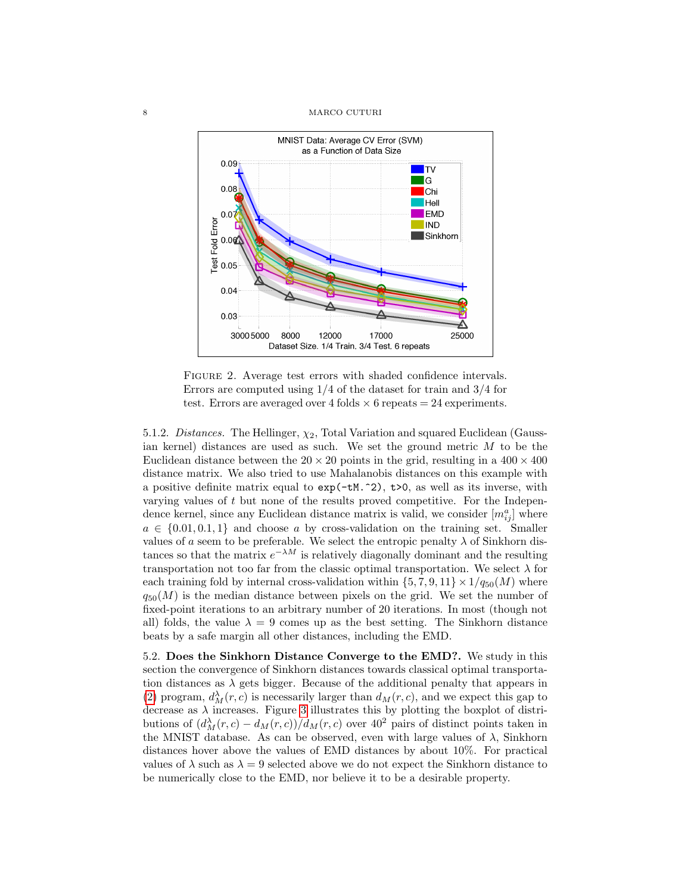#### 8 MARCO CUTURI



FIGURE 2. Average test errors with shaded confidence intervals. Errors are computed using 1/4 of the dataset for train and 3/4 for test. Errors are averaged over 4 folds  $\times$  6 repeats = 24 experiments.

5.1.2. Distances. The Hellinger,  $\chi_2$ , Total Variation and squared Euclidean (Gaussian kernel) distances are used as such. We set the ground metric  $M$  to be the Euclidean distance between the  $20 \times 20$  points in the grid, resulting in a  $400 \times 400$ distance matrix. We also tried to use Mahalanobis distances on this example with a positive definite matrix equal to exp(-tM.^2), t>0, as well as its inverse, with varying values of  $t$  but none of the results proved competitive. For the Independence kernel, since any Euclidean distance matrix is valid, we consider  $[m_{ij}^a]$  where  $a \in \{0.01, 0.1, 1\}$  and choose a by cross-validation on the training set. Smaller values of a seem to be preferable. We select the entropic penalty  $\lambda$  of Sinkhorn distances so that the matrix  $e^{-\lambda M}$  is relatively diagonally dominant and the resulting transportation not too far from the classic optimal transportation. We select  $\lambda$  for each training fold by internal cross-validation within  $\{5, 7, 9, 11\} \times 1/q_{50}(M)$  where  $q_{50}(M)$  is the median distance between pixels on the grid. We set the number of fixed-point iterations to an arbitrary number of 20 iterations. In most (though not all) folds, the value  $\lambda = 9$  comes up as the best setting. The Sinkhorn distance beats by a safe margin all other distances, including the EMD.

5.2. Does the Sinkhorn Distance Converge to the EMD?. We study in this section the convergence of Sinkhorn distances towards classical optimal transportation distances as  $\lambda$  gets bigger. Because of the additional penalty that appears in [\(2\)](#page-5-1) program,  $d_M^{\lambda}(r, c)$  is necessarily larger than  $d_M(r, c)$ , and we expect this gap to decrease as  $\lambda$  increases. Figure [3](#page-8-0) illustrates this by plotting the boxplot of distributions of  $\left(\frac{d_M^{\lambda}(r,c) - d_M(r,c)}{\lambda}\right)$  /  $d_M(r,c)$  over  $40^2$  pairs of distinct points taken in the MNIST database. As can be observed, even with large values of  $\lambda$ , Sinkhorn distances hover above the values of EMD distances by about 10%. For practical values of  $\lambda$  such as  $\lambda = 9$  selected above we do not expect the Sinkhorn distance to be numerically close to the EMD, nor believe it to be a desirable property.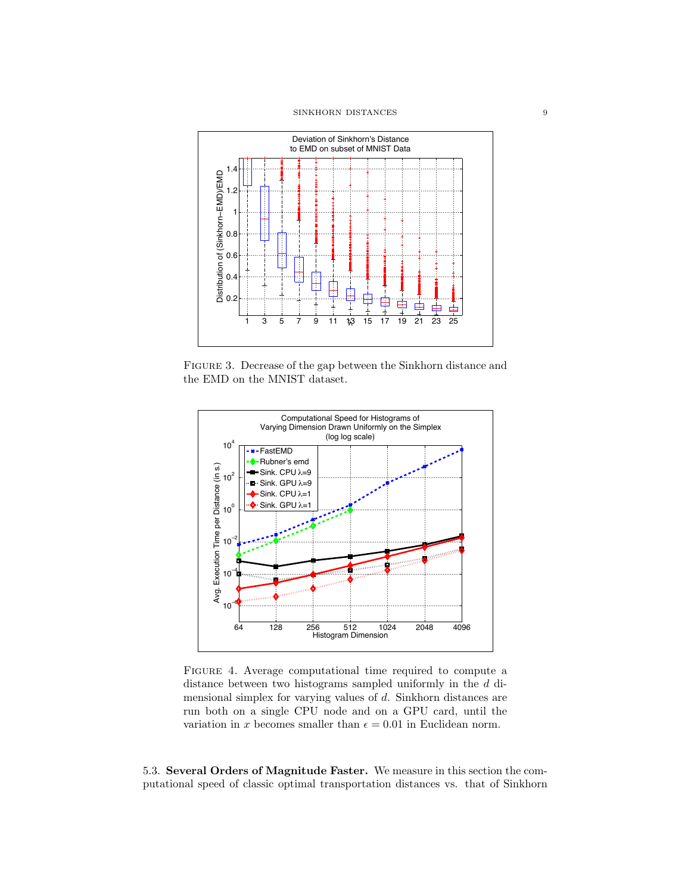

<span id="page-8-0"></span>Figure 3. Decrease of the gap between the Sinkhorn distance and the EMD on the MNIST dataset.



<span id="page-8-2"></span>Figure 4. Average computational time required to compute a distance between two histograms sampled uniformly in the d dimensional simplex for varying values of d. Sinkhorn distances are run both on a single CPU node and on a GPU card, until the variation in x becomes smaller than  $\epsilon = 0.01$  in Euclidean norm.

<span id="page-8-1"></span>5.3. Several Orders of Magnitude Faster. We measure in this section the computational speed of classic optimal transportation distances vs. that of Sinkhorn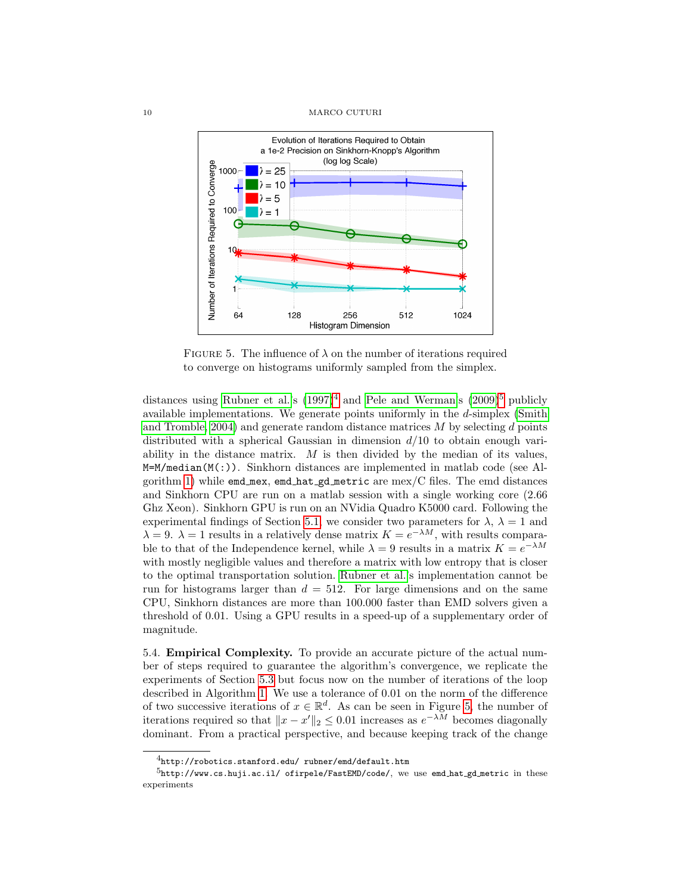

<span id="page-9-2"></span>FIGURE 5. The influence of  $\lambda$  on the number of iterations required to converge on histograms uniformly sampled from the simplex.

distances using [Rubner et al.'](#page-12-1)s  $(1997)^4$  $(1997)^4$  $(1997)^4$  and [Pele and Werman'](#page-12-7)s  $(2009)^5$  $(2009)^5$  $(2009)^5$  publicly available implementations. We generate points uniformly in the d-simplex [\(Smith](#page-12-13) [and Tromble, 2004\)](#page-12-13) and generate random distance matrices  $M$  by selecting  $d$  points distributed with a spherical Gaussian in dimension  $d/10$  to obtain enough variability in the distance matrix.  $M$  is then divided by the median of its values,  $M=M/m$ edian(M(:)). Sinkhorn distances are implemented in matlab code (see Al-gorithm [1\)](#page-5-2) while  $\mathsf{emd\_max}, \mathsf{emd\_hat\_gd\_metric}$  are  $\mathsf{mex}/\mathsf{C}$  files. The emd distances and Sinkhorn CPU are run on a matlab session with a single working core (2.66 Ghz Xeon). Sinkhorn GPU is run on an NVidia Quadro K5000 card. Following the experimental findings of Section [5.1,](#page-6-2) we consider two parameters for  $\lambda$ ,  $\lambda = 1$  and  $\lambda = 9$ .  $\lambda = 1$  results in a relatively dense matrix  $K = e^{-\lambda M}$ , with results comparable to that of the Independence kernel, while  $\lambda = 9$  results in a matrix  $K = e^{-\lambda M}$ with mostly negligible values and therefore a matrix with low entropy that is closer to the optimal transportation solution. [Rubner et al.'](#page-12-1)s implementation cannot be run for histograms larger than  $d = 512$ . For large dimensions and on the same CPU, Sinkhorn distances are more than 100.000 faster than EMD solvers given a threshold of 0.01. Using a GPU results in a speed-up of a supplementary order of magnitude.

5.4. Empirical Complexity. To provide an accurate picture of the actual number of steps required to guarantee the algorithm's convergence, we replicate the experiments of Section [5.3](#page-8-1) but focus now on the number of iterations of the loop described in Algorithm [1.](#page-5-2) We use a tolerance of 0.01 on the norm of the difference of two successive iterations of  $x \in \mathbb{R}^d$ . As can be seen in Figure [5,](#page-9-2) the number of iterations required so that  $||x - x'||_2 \leq 0.01$  increases as  $e^{-\lambda M}$  becomes diagonally dominant. From a practical perspective, and because keeping track of the change

<span id="page-9-1"></span><span id="page-9-0"></span> $4$ http://robotics.stanford.edu/ rubner/emd/default.htm

 $5$ http://www.cs.huji.ac.il/ ofirpele/FastEMD/code/, we use emd\_hat\_gd\_metric in these experiments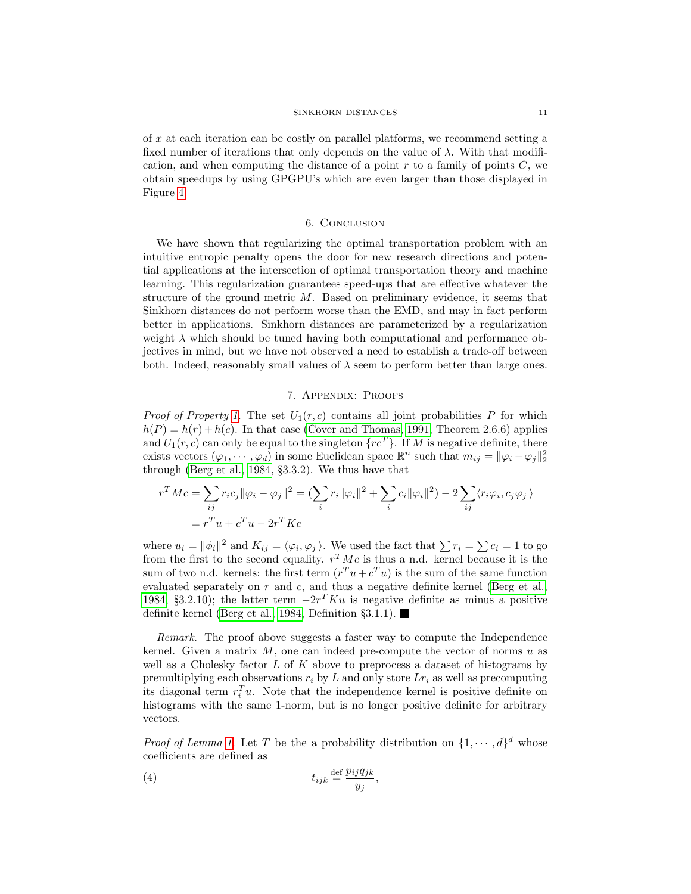of x at each iteration can be costly on parallel platforms, we recommend setting a fixed number of iterations that only depends on the value of  $\lambda$ . With that modification, and when computing the distance of a point  $r$  to a family of points  $C$ , we obtain speedups by using GPGPU's which are even larger than those displayed in Figure [4.](#page-8-2)

## 6. Conclusion

We have shown that regularizing the optimal transportation problem with an intuitive entropic penalty opens the door for new research directions and potential applications at the intersection of optimal transportation theory and machine learning. This regularization guarantees speed-ups that are effective whatever the structure of the ground metric  $M$ . Based on preliminary evidence, it seems that Sinkhorn distances do not perform worse than the EMD, and may in fact perform better in applications. Sinkhorn distances are parameterized by a regularization weight  $\lambda$  which should be tuned having both computational and performance objectives in mind, but we have not observed a need to establish a trade-off between both. Indeed, reasonably small values of  $\lambda$  seem to perform better than large ones.

#### 7. Appendix: Proofs

*Proof of Property [1.](#page-4-4)* The set  $U_1(r, c)$  contains all joint probabilities P for which  $h(P) = h(r) + h(c)$ . In that case [\(Cover and Thomas, 1991,](#page-11-7) Theorem 2.6.6) applies and  $U_1(r, c)$  can only be equal to the singleton  $\{rc^T\}$ . If M is negative definite, there exists vectors  $(\varphi_1, \dots, \varphi_d)$  in some Euclidean space  $\mathbb{R}^n$  such that  $m_{ij} = ||\varphi_i - \varphi_j||_2^2$ through [\(Berg et al., 1984,](#page-11-13) §3.3.2). We thus have that

$$
r^T Mc = \sum_{ij} r_i c_j ||\varphi_i - \varphi_j||^2 = \left(\sum_i r_i ||\varphi_i||^2 + \sum_i c_i ||\varphi_i||^2\right) - 2 \sum_{ij} \langle r_i \varphi_i, c_j \varphi_j \rangle
$$
  
=  $r^T u + c^T u - 2r^T K c$ 

where  $u_i = ||\phi_i||^2$  and  $K_{ij} = \langle \varphi_i, \varphi_j \rangle$ . We used the fact that  $\sum r_i = \sum c_i = 1$  to go from the first to the second equality.  $r^T M c$  is thus a n.d. kernel because it is the sum of two n.d. kernels: the first term  $(r^T u + c^T u)$  is the sum of the same function evaluated separately on  $r$  and  $c$ , and thus a negative definite kernel [\(Berg et al.,](#page-11-13) [1984,](#page-11-13) §3.2.10); the latter term  $-2r^T K u$  is negative definite as minus a positive definite kernel [\(Berg et al., 1984,](#page-11-13) Definition  $\S 3.1.1$ ).

Remark. The proof above suggests a faster way to compute the Independence kernel. Given a matrix  $M$ , one can indeed pre-compute the vector of norms  $u$  as well as a Cholesky factor  $L$  of  $K$  above to preprocess a dataset of histograms by premultiplying each observations  $r_i$  by L and only store  $Lr_i$  as well as precomputing its diagonal term  $r_i^T u$ . Note that the independence kernel is positive definite on histograms with the same 1-norm, but is no longer positive definite for arbitrary vectors.

*Proof of Lemma [1.](#page-4-3)* Let T be the a probability distribution on  $\{1, \dots, d\}^d$  whose coefficients are defined as

<span id="page-10-0"></span>(4) 
$$
t_{ijk} \stackrel{\text{def}}{=} \frac{p_{ij}q_{jk}}{y_j},
$$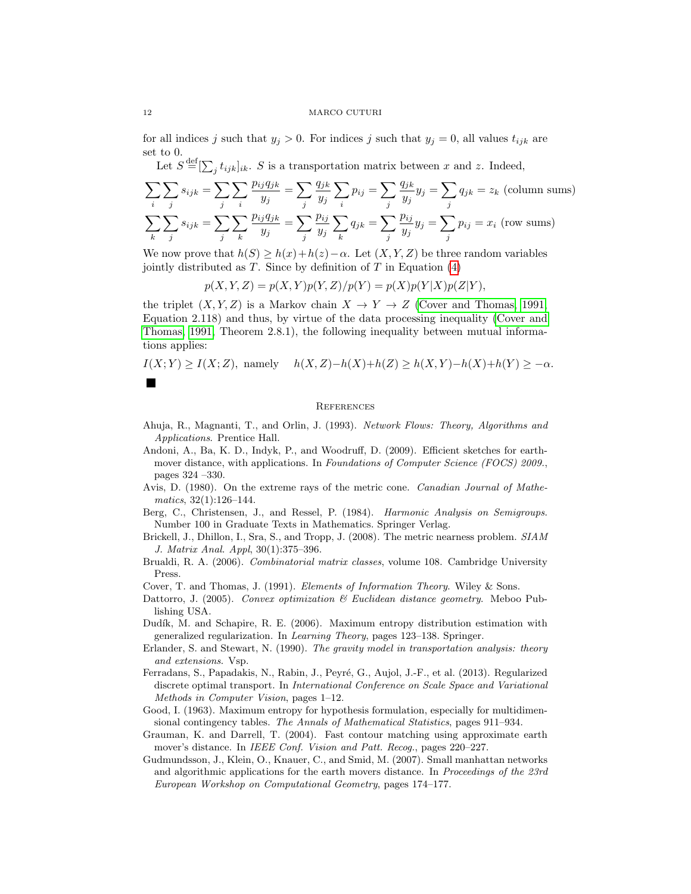#### 12 MARCO CUTURI

for all indices j such that  $y_j > 0$ . For indices j such that  $y_j = 0$ , all values  $t_{ijk}$  are set to 0.

Let  $S \stackrel{\text{def}}{=} [\sum_j t_{ijk}]_{ik}$ . S is a transportation matrix between x and z. Indeed,

$$
\sum_{i} \sum_{j} s_{ijk} = \sum_{j} \sum_{i} \frac{p_{ij} q_{jk}}{y_j} = \sum_{j} \frac{q_{jk}}{y_j} \sum_{i} p_{ij} = \sum_{j} \frac{q_{jk}}{y_j} y_j = \sum_{j} q_{jk} = z_k \text{ (column sums)}
$$
  

$$
\sum_{k} \sum_{j} s_{ijk} = \sum_{j} \sum_{k} \frac{p_{ij} q_{jk}}{y_j} = \sum_{j} \frac{p_{ij}}{y_j} \sum_{k} q_{jk} = \sum_{j} \frac{p_{ij}}{y_j} y_j = \sum_{j} p_{ij} = x_i \text{ (row sums)}
$$

We now prove that  $h(S) \geq h(x) + h(z) - \alpha$ . Let  $(X, Y, Z)$  be three random variables jointly distributed as  $T$ . Since by definition of  $T$  in Equation  $(4)$ 

$$
p(X, Y, Z) = p(X, Y)p(Y, Z)/p(Y) = p(X)p(Y|X)p(Z|Y),
$$

the triplet  $(X, Y, Z)$  is a Markov chain  $X \to Y \to Z$  [\(Cover and Thomas, 1991,](#page-11-7) Equation 2.118) and thus, by virtue of the data processing inequality [\(Cover and](#page-11-7) [Thomas, 1991,](#page-11-7) Theorem 2.8.1), the following inequality between mutual informations applies:

$$
I(X;Y) \ge I(X;Z),
$$
 namely  $h(X,Z)-h(X)+h(Z) \ge h(X,Y)-h(X)+h(Y) \ge -\alpha$ .

#### **REFERENCES**

- <span id="page-11-4"></span>Ahuja, R., Magnanti, T., and Orlin, J. (1993). Network Flows: Theory, Algorithms and Applications. Prentice Hall.
- <span id="page-11-0"></span>Andoni, A., Ba, K. D., Indyk, P., and Woodruff, D. (2009). Efficient sketches for earthmover distance, with applications. In Foundations of Computer Science (FOCS) 2009., pages 324 –330.
- <span id="page-11-5"></span>Avis, D. (1980). On the extreme rays of the metric cone. Canadian Journal of Mathematics, 32(1):126–144.
- <span id="page-11-13"></span>Berg, C., Christensen, J., and Ressel, P. (1984). Harmonic Analysis on Semigroups. Number 100 in Graduate Texts in Mathematics. Springer Verlag.
- <span id="page-11-6"></span>Brickell, J., Dhillon, I., Sra, S., and Tropp, J. (2008). The metric nearness problem. SIAM J. Matrix Anal. Appl, 30(1):375–396.
- <span id="page-11-9"></span>Brualdi, R. A. (2006). Combinatorial matrix classes, volume 108. Cambridge University Press.
- <span id="page-11-7"></span>Cover, T. and Thomas, J. (1991). Elements of Information Theory. Wiley & Sons.
- <span id="page-11-12"></span>Dattorro, J. (2005). Convex optimization  $\mathcal B$  Euclidean distance geometry. Meboo Publishing USA.
- <span id="page-11-10"></span>Dudík, M. and Schapire, R. E. (2006). Maximum entropy distribution estimation with generalized regularization. In Learning Theory, pages 123–138. Springer.
- <span id="page-11-3"></span>Erlander, S. and Stewart, N. (1990). The gravity model in transportation analysis: theory and extensions. Vsp.
- <span id="page-11-11"></span>Ferradans, S., Papadakis, N., Rabin, J., Peyré, G., Aujol, J.-F., et al. (2013). Regularized discrete optimal transport. In International Conference on Scale Space and Variational Methods in Computer Vision, pages 1–12.
- <span id="page-11-8"></span>Good, I. (1963). Maximum entropy for hypothesis formulation, especially for multidimensional contingency tables. The Annals of Mathematical Statistics, pages 911–934.
- <span id="page-11-1"></span>Grauman, K. and Darrell, T. (2004). Fast contour matching using approximate earth mover's distance. In *IEEE Conf. Vision and Patt. Recog.*, pages 220–227.
- <span id="page-11-2"></span>Gudmundsson, J., Klein, O., Knauer, C., and Smid, M. (2007). Small manhattan networks and algorithmic applications for the earth movers distance. In Proceedings of the 23rd European Workshop on Computational Geometry, pages 174–177.